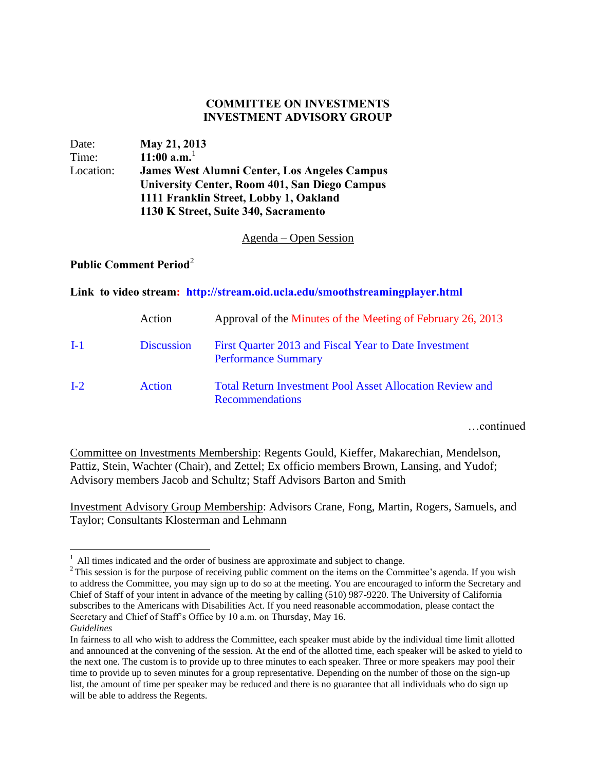## **COMMITTEE ON INVESTMENTS INVESTMENT ADVISORY GROUP**

| Date:     | May 21, 2013                                        |  |
|-----------|-----------------------------------------------------|--|
| Time:     | $11:00$ a.m. <sup>1</sup>                           |  |
| Location: | <b>James West Alumni Center, Los Angeles Campus</b> |  |
|           | University Center, Room 401, San Diego Campus       |  |
|           | 1111 Franklin Street, Lobby 1, Oakland              |  |
|           | 1130 K Street, Suite 340, Sacramento                |  |

Agenda – Open Session

## **Public Comment Period**<sup>2</sup>

## **Link to video stream: http://stream.oid.ucla.edu/smoothstreamingplayer.html**

|         | Action            | Approval of the Minutes of the Meeting of February 26, 2013                               |
|---------|-------------------|-------------------------------------------------------------------------------------------|
| $I-1$   | <b>Discussion</b> | First Quarter 2013 and Fiscal Year to Date Investment<br><b>Performance Summary</b>       |
| $L_{2}$ | Action            | <b>Total Return Investment Pool Asset Allocation Review and</b><br><b>Recommendations</b> |

…continued

Committee on Investments Membership: Regents Gould, Kieffer, Makarechian, Mendelson, Pattiz, Stein, Wachter (Chair), and Zettel; Ex officio members Brown, Lansing, and Yudof; Advisory members Jacob and Schultz; Staff Advisors Barton and Smith

Investment Advisory Group Membership: Advisors Crane, Fong, Martin, Rogers, Samuels, and Taylor; Consultants Klosterman and Lehmann

<sup>&</sup>lt;sup>1</sup> All times indicated and the order of business are approximate and subject to change.

 $2$ This session is for the purpose of receiving public comment on the items on the Committee's agenda. If you wish to address the Committee, you may sign up to do so at the meeting. You are encouraged to inform the Secretary and Chief of Staff of your intent in advance of the meeting by calling (510) 987-9220. The University of California subscribes to the Americans with Disabilities Act. If you need reasonable accommodation, please contact the Secretary and Chief of Staff's Office by 10 a.m. on Thursday, May 16.

*Guidelines*

In fairness to all who wish to address the Committee, each speaker must abide by the individual time limit allotted and announced at the convening of the session. At the end of the allotted time, each speaker will be asked to yield to the next one. The custom is to provide up to three minutes to each speaker. Three or more speakers may pool their time to provide up to seven minutes for a group representative. Depending on the number of those on the sign-up list, the amount of time per speaker may be reduced and there is no guarantee that all individuals who do sign up will be able to address the Regents.